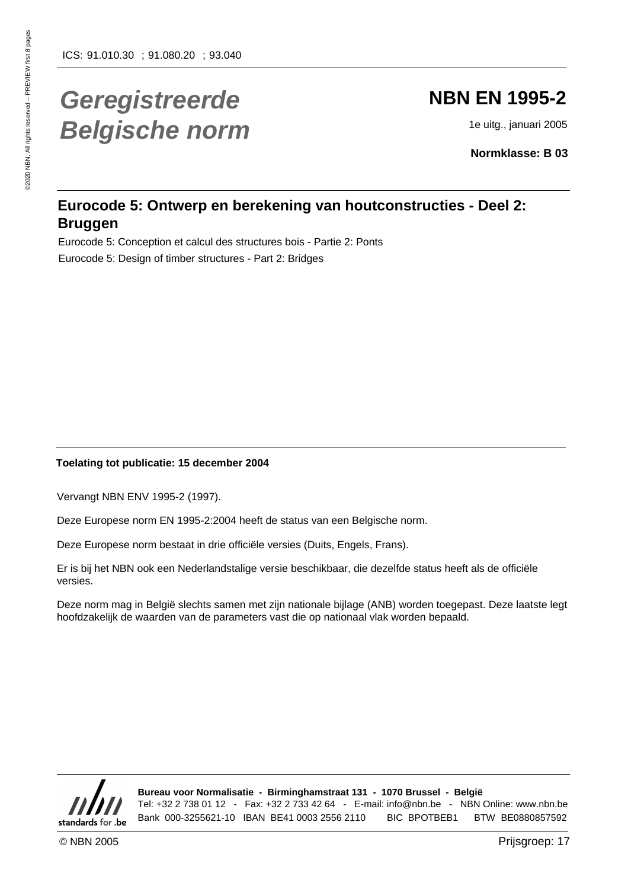# **Geregistreerde Belgische norm**

# **NBN EN 1995-2**

1e uitg., januari 2005

**Normklasse: B 03**

### **Eurocode 5: Ontwerp en berekening van houtconstructies - Deel 2: Bruggen**

Eurocode 5: Conception et calcul des structures bois - Partie 2: Ponts Eurocode 5: Design of timber structures - Part 2: Bridges

#### **Toelating tot publicatie: 15 december 2004**

Vervangt NBN ENV 1995-2 (1997).

Deze Europese norm EN 1995-2:2004 heeft de status van een Belgische norm.

Deze Europese norm bestaat in drie officiële versies (Duits, Engels, Frans).

Er is bij het NBN ook een Nederlandstalige versie beschikbaar, die dezelfde status heeft als de officiële versies.

Deze norm mag in België slechts samen met zijn nationale bijlage (ANB) worden toegepast. Deze laatste legt hoofdzakelijk de waarden van de parameters vast die op nationaal vlak worden bepaald.



**Bureau voor Normalisatie - Birminghamstraat 131 - 1070 Brussel - België** Tel: +32 2 738 01 12 - Fax: +32 2 733 42 64 - E-mail: info@nbn.be - NBN Online: www.nbn.be Bank 000-3255621-10 IBAN BE41 0003 2556 2110 BIC BPOTBEB1 BTW BE0880857592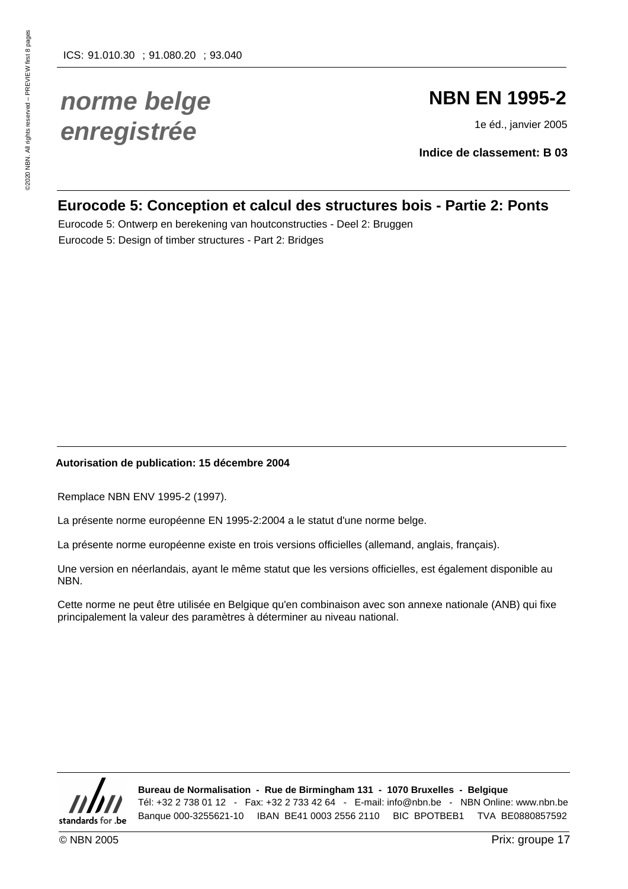# **norme belge enregistrée**

# **NBN EN 1995-2**

1e éd., janvier 2005

**Indice de classement: B 03**

### **Eurocode 5: Conception et calcul des structures bois - Partie 2: Ponts**

Eurocode 5: Ontwerp en berekening van houtconstructies - Deel 2: Bruggen Eurocode 5: Design of timber structures - Part 2: Bridges

#### **Autorisation de publication: 15 décembre 2004**

Remplace NBN ENV 1995-2 (1997).

La présente norme européenne EN 1995-2:2004 a le statut d'une norme belge.

La présente norme européenne existe en trois versions officielles (allemand, anglais, français).

Une version en néerlandais, ayant le même statut que les versions officielles, est également disponible au NBN.

Cette norme ne peut être utilisée en Belgique qu'en combinaison avec son annexe nationale (ANB) qui fixe principalement la valeur des paramètres à déterminer au niveau national.



**Bureau de Normalisation - Rue de Birmingham 131 - 1070 Bruxelles - Belgique** Tél: +32 2 738 01 12 - Fax: +32 2 733 42 64 - E-mail: info@nbn.be - NBN Online: www.nbn.be Banque 000-3255621-10 IBAN BE41 0003 2556 2110 BIC BPOTBEB1 TVA BE0880857592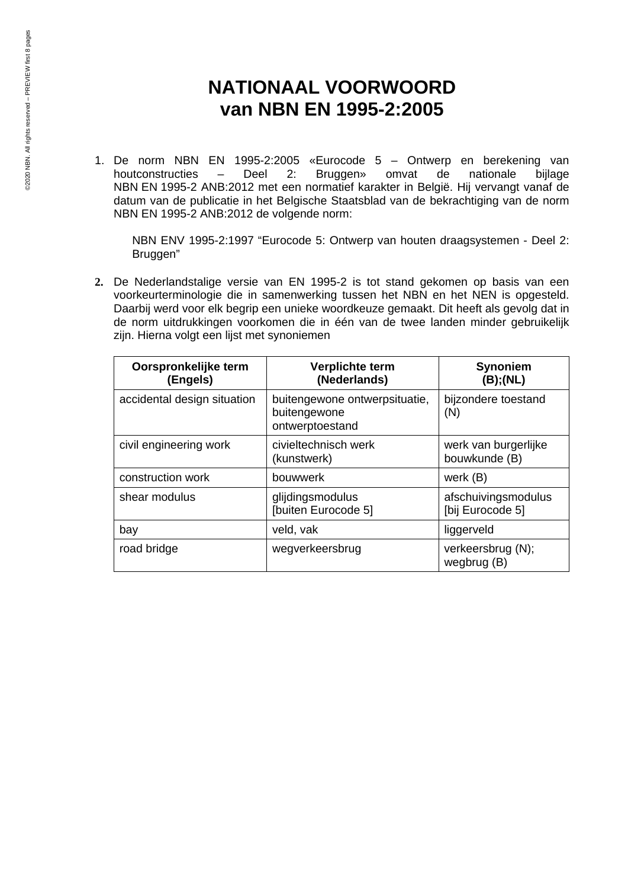### **NATIONAAL VOORWOORD van NBN EN 1995-2:2005**

1. De norm NBN EN 1995-2:2005 «Eurocode 5 – Ontwerp en berekening van houtconstructies – Deel 2: Bruggen» omvat de nationale bijlage NBN EN 1995-2 ANB:2012 met een normatief karakter in België. Hij vervangt vanaf de datum van de publicatie in het Belgische Staatsblad van de bekrachtiging van de norm NBN EN 1995-2 ANB:2012 de volgende norm:

NBN ENV 1995-2:1997 "Eurocode 5: Ontwerp van houten draagsystemen - Deel 2: Bruggen"

**2.** De Nederlandstalige versie van EN 1995-2 is tot stand gekomen op basis van een voorkeurterminologie die in samenwerking tussen het NBN en het NEN is opgesteld. Daarbij werd voor elk begrip een unieke woordkeuze gemaakt. Dit heeft als gevolg dat in de norm uitdrukkingen voorkomen die in één van de twee landen minder gebruikelijk zijn. Hierna volgt een lijst met synoniemen

| Oorspronkelijke term<br>(Engels) | Verplichte term<br>(Nederlands)                                  | <b>Synoniem</b><br>(B);(NL)             |
|----------------------------------|------------------------------------------------------------------|-----------------------------------------|
| accidental design situation      | buitengewone ontwerpsituatie,<br>buitengewone<br>ontwerptoestand | bijzondere toestand<br>(N)              |
| civil engineering work           | civieltechnisch werk<br>(kunstwerk)                              | werk van burgerlijke<br>bouwkunde (B)   |
| construction work                | bouwwerk                                                         | werk (B)                                |
| shear modulus                    | glijdingsmodulus<br>[buiten Eurocode 5]                          | afschuivingsmodulus<br>[bij Eurocode 5] |
| bay                              | veld, vak                                                        | liggerveld                              |
| road bridge                      | wegverkeersbrug                                                  | verkeersbrug (N);<br>wegbrug (B)        |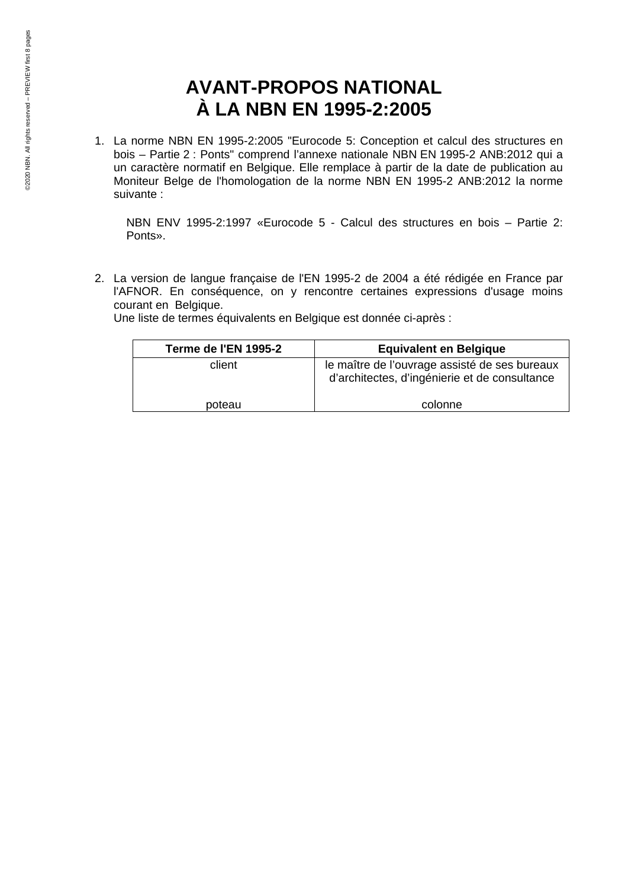## **AVANT-PROPOS NATIONAL À LA NBN EN 1995-2:2005**

1. La norme NBN EN 1995-2:2005 "Eurocode 5: Conception et calcul des structures en bois – Partie 2 : Ponts" comprend l'annexe nationale NBN EN 1995-2 ANB:2012 qui a un caractère normatif en Belgique. Elle remplace à partir de la date de publication au Moniteur Belge de l'homologation de la norme NBN EN 1995-2 ANB:2012 la norme suivante :

NBN ENV 1995-2:1997 «Eurocode 5 - Calcul des structures en bois – Partie 2: Ponts».

2. La version de langue française de l'EN 1995-2 de 2004 a été rédigée en France par l'AFNOR. En conséquence, on y rencontre certaines expressions d'usage moins courant en Belgique.

Une liste de termes équivalents en Belgique est donnée ci-après :

| Terme de l'EN 1995-2 | <b>Equivalent en Belgique</b>                                                                  |
|----------------------|------------------------------------------------------------------------------------------------|
| client               | le maître de l'ouvrage assisté de ses bureaux<br>d'architectes, d'ingénierie et de consultance |
| poteau               | colonne                                                                                        |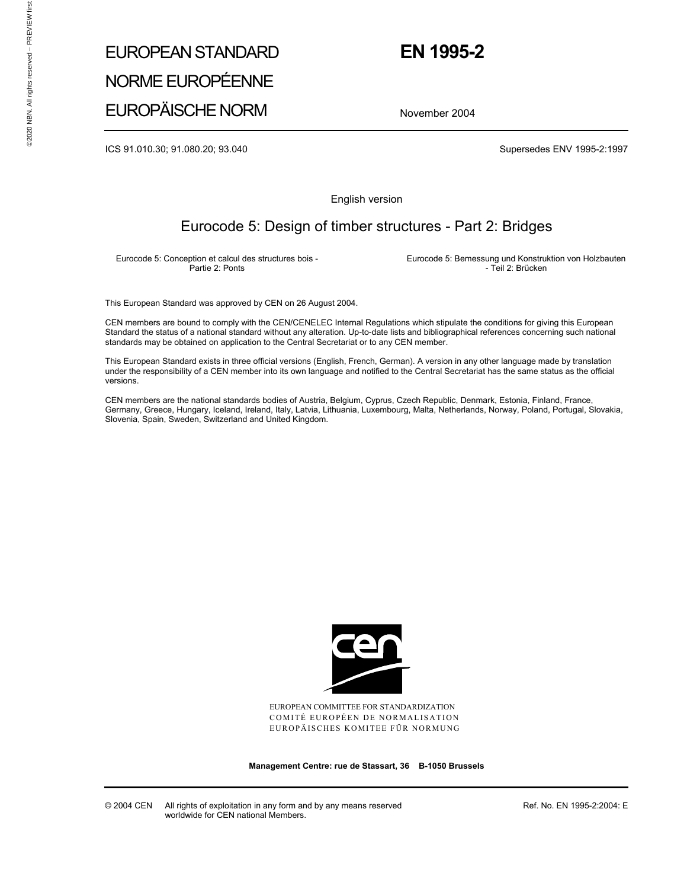# EUROPEAN STANDARD NORME EUROPÉENNE EUROPÄISCHE NORM

### **EN 1995-2**

November 2004

ICS 91.010.30; 91.080.20; 93.040 Supersedes ENV 1995-2:1997

English version

### Eurocode 5: Design of timber structures - Part 2: Bridges

Eurocode 5: Conception et calcul des structures bois - Partie 2: Ponts

 Eurocode 5: Bemessung und Konstruktion von Holzbauten - Teil 2: Brücken

This European Standard was approved by CEN on 26 August 2004.

CEN members are bound to comply with the CEN/CENELEC Internal Regulations which stipulate the conditions for giving this European Standard the status of a national standard without any alteration. Up-to-date lists and bibliographical references concerning such national standards may be obtained on application to the Central Secretariat or to any CEN member.

This European Standard exists in three official versions (English, French, German). A version in any other language made by translation under the responsibility of a CEN member into its own language and notified to the Central Secretariat has the same status as the official versions.

CEN members are the national standards bodies of Austria, Belgium, Cyprus, Czech Republic, Denmark, Estonia, Finland, France, Germany, Greece, Hungary, Iceland, Ireland, Italy, Latvia, Lithuania, Luxembourg, Malta, Netherlands, Norway, Poland, Portugal, Slovakia, Slovenia, Spain, Sweden, Switzerland and United Kingdom.



EUROPEAN COMMITTEE FOR STANDARDIZATION COMITÉ EUROPÉEN DE NORMALISATION EUROPÄISCHES KOMITEE FÜR NORMUNG

**Management Centre: rue de Stassart, 36 B-1050 Brussels** 

© 2004 CEN All rights of exploitation in any form and by any means reserved worldwide for CEN national Members.

Ref. No. EN 1995-2:2004: E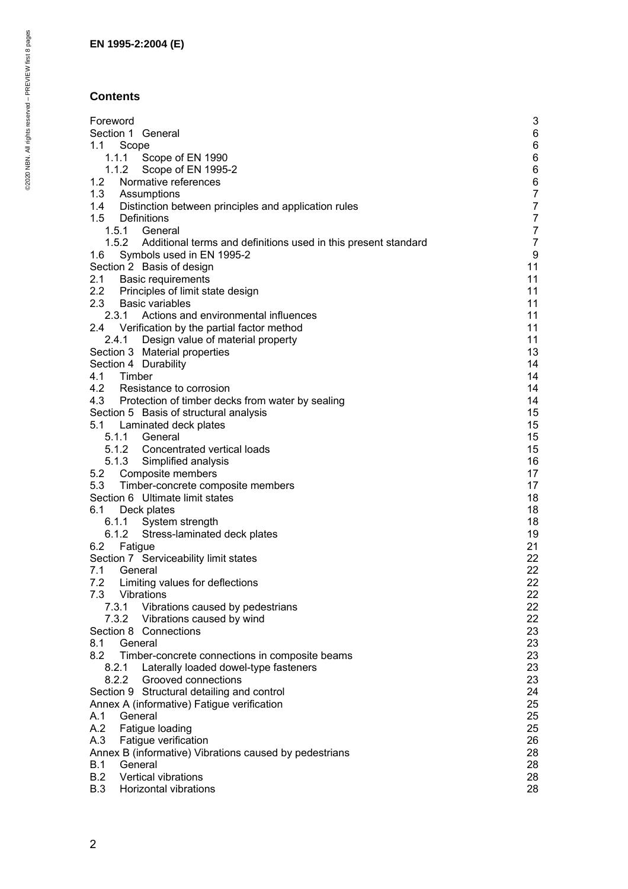### **Contents**

| Foreword                                                             | 3                |
|----------------------------------------------------------------------|------------------|
|                                                                      |                  |
| Section 1 General                                                    | 6                |
| 1.1<br>Scope                                                         | 6                |
| 1.1.1 Scope of EN 1990                                               | 6                |
| 1.1.2<br>Scope of EN 1995-2                                          | 6                |
| 1.2<br>Normative references                                          | $\,6\,$          |
| 1.3<br>Assumptions                                                   | $\overline{7}$   |
| 1.4 Distinction between principles and application rules             | $\overline{7}$   |
| 1.5<br>Definitions                                                   | $\boldsymbol{7}$ |
| 1.5.1 General                                                        | $\boldsymbol{7}$ |
| 1.5.2 Additional terms and definitions used in this present standard | $\boldsymbol{7}$ |
| 1.6<br>Symbols used in EN 1995-2                                     | 9                |
|                                                                      |                  |
| Section 2 Basis of design                                            | 11               |
| 2.1 Basic requirements                                               | 11               |
| 2.2 Principles of limit state design                                 | 11               |
| 2.3 Basic variables                                                  | 11               |
| Actions and environmental influences<br>2.3.1                        | 11               |
| 2.4 Verification by the partial factor method                        | 11               |
| 2.4.1 Design value of material property                              | 11               |
| Section 3 Material properties                                        | 13               |
| Section 4 Durability                                                 | 14               |
| 4.1 Timber                                                           | 14               |
| 4.2 Resistance to corrosion                                          | 14               |
| 4.3 Protection of timber decks from water by sealing                 | 14               |
| Section 5 Basis of structural analysis                               | 15               |
| 5.1<br>Laminated deck plates                                         | 15               |
| 5.1.1 General                                                        | 15               |
|                                                                      |                  |
| 5.1.2 Concentrated vertical loads                                    | 15               |
| 5.1.3 Simplified analysis                                            | 16               |
| 5.2 Composite members                                                | 17               |
| 5.3<br>Timber-concrete composite members                             | 17               |
| Section 6 Ultimate limit states                                      | 18               |
| 6.1<br>Deck plates                                                   | 18               |
| 6.1.1 System strength                                                | 18               |
| 6.1.2<br>Stress-laminated deck plates                                | 19               |
| Fatigue<br>6.2                                                       | 21               |
| Section 7 Serviceability limit states                                | 22               |
| 7.1<br>General                                                       | 22               |
| 7.2 Limiting values for deflections                                  | 22               |
| 7.3 Vibrations                                                       | 22               |
| 7.3.1<br>Vibrations caused by pedestrians                            | 22               |
|                                                                      |                  |
| 7.3.2 Vibrations caused by wind                                      | 22               |
| Section 8 Connections                                                | 23               |
| 8.1<br>General                                                       | 23               |
| 8.2<br>Timber-concrete connections in composite beams                | 23               |
| 8.2.1 Laterally loaded dowel-type fasteners                          | 23               |
| 8.2.2 Grooved connections                                            | 23               |
| Section 9 Structural detailing and control                           | 24               |
| Annex A (informative) Fatigue verification                           | 25               |
| General<br>A.1                                                       | 25               |
| Fatigue loading<br>A.2                                               | 25               |
| A.3<br>Fatigue verification                                          | 26               |
| Annex B (informative) Vibrations caused by pedestrians               | 28               |
| <b>B.1</b><br>General                                                | 28               |
| B.2<br>Vertical vibrations                                           | 28               |
| B.3<br>Horizontal vibrations                                         | 28               |
|                                                                      |                  |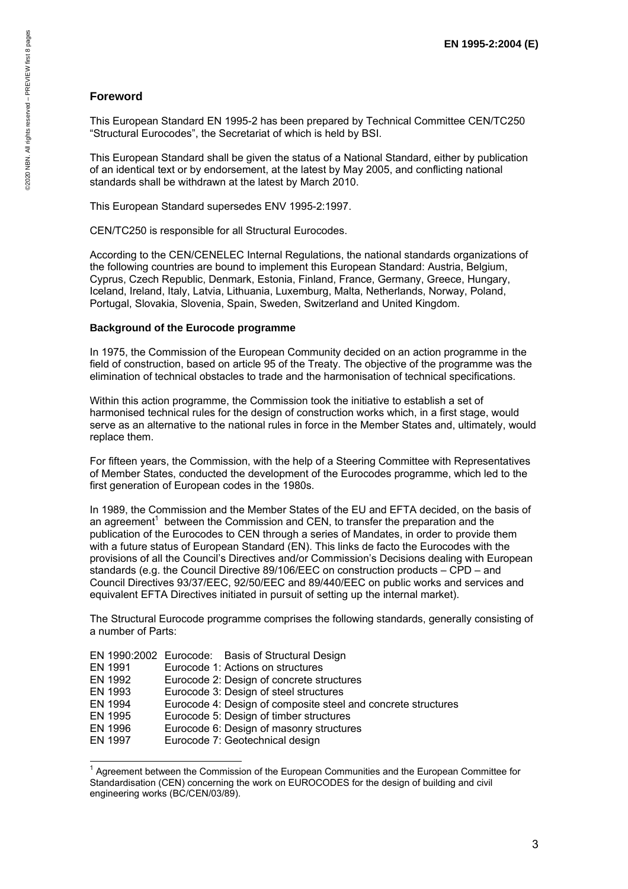#### **Foreword**

This European Standard EN 1995-2 has been prepared by Technical Committee CEN/TC250 "Structural Eurocodes", the Secretariat of which is held by BSI.

This European Standard shall be given the status of a National Standard, either by publication of an identical text or by endorsement, at the latest by May 2005, and conflicting national standards shall be withdrawn at the latest by March 2010.

This European Standard supersedes ENV 1995-2:1997.

CEN/TC250 is responsible for all Structural Eurocodes.

According to the CEN/CENELEC Internal Regulations, the national standards organizations of the following countries are bound to implement this European Standard: Austria, Belgium, Cyprus, Czech Republic, Denmark, Estonia, Finland, France, Germany, Greece, Hungary, Iceland, Ireland, Italy, Latvia, Lithuania, Luxemburg, Malta, Netherlands, Norway, Poland, Portugal, Slovakia, Slovenia, Spain, Sweden, Switzerland and United Kingdom.

#### **Background of the Eurocode programme**

In 1975, the Commission of the European Community decided on an action programme in the field of construction, based on article 95 of the Treaty. The objective of the programme was the elimination of technical obstacles to trade and the harmonisation of technical specifications.

Within this action programme, the Commission took the initiative to establish a set of harmonised technical rules for the design of construction works which, in a first stage, would serve as an alternative to the national rules in force in the Member States and, ultimately, would replace them.

For fifteen years, the Commission, with the help of a Steering Committee with Representatives of Member States, conducted the development of the Eurocodes programme, which led to the first generation of European codes in the 1980s.

In 1989, the Commission and the Member States of the EU and EFTA decided, on the basis of an agreement<sup>1</sup> between the Commission and CEN, to transfer the preparation and the publication of the Eurocodes to CEN through a series of Mandates, in order to provide them with a future status of European Standard (EN). This links de facto the Eurocodes with the provisions of all the Council's Directives and/or Commission's Decisions dealing with European standards (e.g. the Council Directive 89/106/EEC on construction products – CPD – and Council Directives 93/37/EEC, 92/50/EEC and 89/440/EEC on public works and services and equivalent EFTA Directives initiated in pursuit of setting up the internal market).

The Structural Eurocode programme comprises the following standards, generally consisting of a number of Parts:

| EN 1991 | EN 1990:2002 Eurocode: Basis of Structural Design<br>Eurocode 1: Actions on structures |
|---------|----------------------------------------------------------------------------------------|
|         |                                                                                        |
| EN 1992 | Eurocode 2: Design of concrete structures                                              |
| EN 1993 | Eurocode 3: Design of steel structures                                                 |
| EN 1994 | Eurocode 4: Design of composite steel and concrete structures                          |
| EN 1995 | Eurocode 5: Design of timber structures                                                |
| EN 1996 | Eurocode 6: Design of masonry structures                                               |
| EN 1997 | Eurocode 7: Geotechnical design                                                        |

 $\overline{a}$ <sup>1</sup> Agreement between the Commission of the European Communities and the European Committee for Standardisation (CEN) concerning the work on EUROCODES for the design of building and civil engineering works (BC/CEN/03/89).